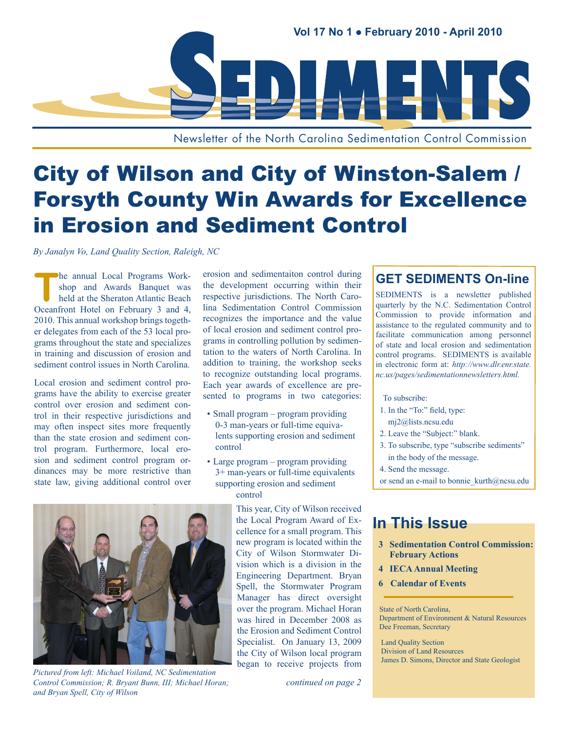

Newsletter of the North Carolina Sedimentation Control Commission

# City of Wilson and City of Winston-Salem / Forsyth County Win Awards for Excellence in Erosion and Sediment Control

*By Janalyn Vo, Land Quality Section, Raleigh, NC*

The annual Local Programs Work-<br>
held at the Sheraton Atlantic Beach<br>
Consulted With Little Representing 2 and 4 shop and Awards Banquet was Oceanfront Hotel on February 3 and 4, 2010. This annual workshop brings together delegates from each of the 53 local programs throughout the state and specializes in training and discussion of erosion and sediment control issues in North Carolina.

Local erosion and sediment control programs have the ability to exercise greater control over erosion and sediment control in their respective jurisdictions and may often inspect sites more frequently than the state erosion and sediment control program. Furthermore, local erosion and sediment control program ordinances may be more restrictive than state law, giving additional control over erosion and sedimentaiton control during the development occurring within their respective jurisdictions. The North Carolina Sedimentation Control Commission recognizes the importance and the value of local erosion and sediment control programs in controlling pollution by sedimentation to the waters of North Carolina. In addition to training, the workshop seeks to recognize outstanding local programs. Each year awards of excellence are presented to programs in two categories:

- Small program program providing 0-3 man-years or full-time equivalents supporting erosion and sediment control
- Large program program providing 3+ man-years or full-time equivalents supporting erosion and sediment control

This year, City of Wilson received the Local Program Award of Excellence for a small program. This new program is located within the City of Wilson Stormwater Division which is a division in the Engineering Department. Bryan Spell, the Stormwater Program Manager has direct oversight over the program. Michael Horan was hired in December 2008 as the Erosion and Sediment Control Specialist. On January 13, 2009 the City of Wilson local program began to receive projects from

#### *continued on page 2*

# **GET SEDIMENTS On-line**

SEDIMENTS is a newsletter published quarterly by the N.C. Sedimentation Control Commission to provide information and assistance to the regulated community and to facilitate communication among personnel of state and local erosion and sedimentation control programs. SEDIMENTS is available in electronic form at: *[http://www.dlr.enr.state.](http://www.dlr.enr.state.nc.us/pages/sedimentationnewsletters.html) [nc.us/pages/sedimentationnewsletters.html.](http://www.dlr.enr.state.nc.us/pages/sedimentationnewsletters.html)*

#### To subscribe:

- 1. In the "To:" field, type: mj2@lists.ncsu.edu
- 2. Leave the "Subject:" blank.
- 3. To subscribe, type "subscribe sediments" in the body of the message.
- 4. Send the message.
- or send an e-mail to bonnie kurth@ncsu.edu

# **In This Issue**

- **3 [Sedimentation Control Commission:](#page-1-0)  [February Actions](#page-1-0)**
- **4 [IECA Annual Meeting](#page-1-0)**
- **6 [Calendar of Events](#page-5-0)**

State of North Carolina, Department of Environment & Natural Resources Dee Freeman, Secretary

Land Quality Section Division of Land Resources James D. Simons, Director and State Geologist



*Pictured from left: Michael Voiland, NC Sedimentation Control Commission; R. Bryant Bunn, III; Michael Horan; and Bryan Spell, City of Wilson*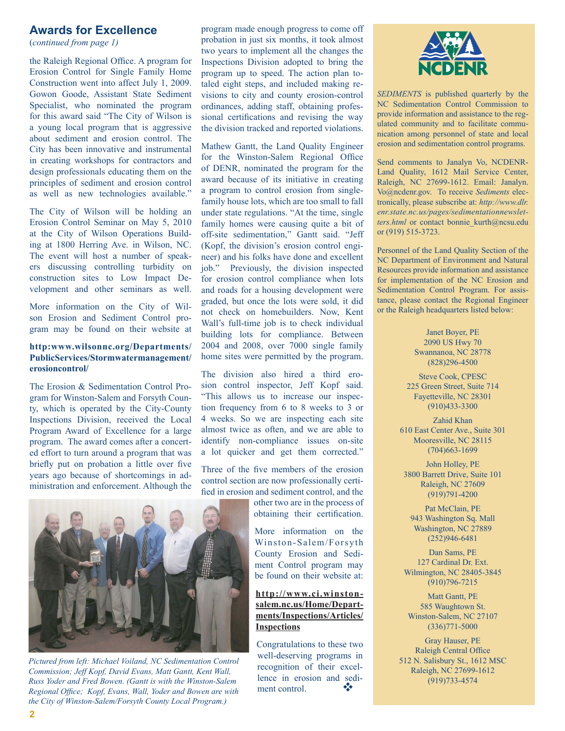# <span id="page-1-0"></span>**Awards for Excellence**

(*continued from page 1)*

the Raleigh Regional Office. A program for Erosion Control for Single Family Home Construction went into affect July 1, 2009. Gowon Goode, Assistant State Sediment Specialist, who nominated the program for this award said "The City of Wilson is a young local program that is aggressive about sediment and erosion control. The City has been innovative and instrumental in creating workshops for contractors and design professionals educating them on the principles of sediment and erosion control as well as new technologies available."

The City of Wilson will be holding an Erosion Control Seminar on May 5, 2010 at the City of Wilson Operations Building at 1800 Herring Ave. in Wilson, NC. The event will host a number of speakers discussing controlling turbidity on construction sites to Low Impact Development and other seminars as well.

More information on the City of Wilson Erosion and Sediment Control program may be found on their website at

#### **http:www.wilsonnc.org/Departments/ PublicServices/Stormwatermanagement/ erosioncontrol/**

The Erosion & Sedimentation Control Program for Winston-Salem and Forsyth County, which is operated by the City-County Inspections Division, received the Local Program Award of Excellence for a large program. The award comes after a concerted effort to turn around a program that was briefly put on probation a little over five years ago because of shortcomings in administration and enforcement. Although the

program made enough progress to come off probation in just six months, it took almost two years to implement all the changes the Inspections Division adopted to bring the program up to speed. The action plan totaled eight steps, and included making revisions to city and county erosion-control ordinances, adding staff, obtaining professional certifications and revising the way the division tracked and reported violations.

Mathew Gantt, the Land Quality Engineer for the Winston-Salem Regional Office of DENR, nominated the program for the award because of its initiative in creating a program to control erosion from singlefamily house lots, which are too small to fall under state regulations. "At the time, single family homes were causing quite a bit of off-site sedimentation," Gantt said. "Jeff (Kopf, the division's erosion control engineer) and his folks have done and excellent job." Previously, the division inspected for erosion control compliance when lots and roads for a housing development were graded, but once the lots were sold, it did not check on homebuilders. Now, Kent Wall's full-time job is to check individual building lots for compliance. Between 2004 and 2008, over 7000 single family home sites were permitted by the program.

The division also hired a third erosion control inspector, Jeff Kopf said. "This allows us to increase our inspection frequency from 6 to 8 weeks to 3 or 4 weeks. So we are inspecting each site almost twice as often, and we are able to identify non-compliance issues on-site a lot quicker and get them corrected."

Three of the five members of the erosion control section are now professionally certified in erosion and sediment control, and the

> other two are in the process of obtaining their certification.

More information on the Winston-Salem/Forsyth County Erosion and Sediment Control program may be found on their website at:

## **[http://www.ci.winston](http://www.ci.winston-salem.nc.us/Home/Departments/Inspections/Articles/Inspections)[salem.nc.us/Home/Depart](http://www.ci.winston-salem.nc.us/Home/Departments/Inspections/Articles/Inspections)[ments/Inspections/Articles/](http://www.ci.winston-salem.nc.us/Home/Departments/Inspections/Articles/Inspections) [Inspections](http://www.ci.winston-salem.nc.us/Home/Departments/Inspections/Articles/Inspections)**

Congratulations to these two well-deserving programs in recognition of their excellence in erosion and sediment control.



*SEDIMENTS* is published quarterly by the NC Sedimentation Control Commission to provide information and assistance to the regulated community and to facilitate communication among personnel of state and local erosion and sedimentation control programs.

Send comments to Janalyn Vo, NCDENR-Land Quality, 1612 Mail Service Center, Raleigh, NC 27699-1612. Email: Janalyn. Vo@ncdenr.gov. To receive *Sediments* electronically, please subscribe at: *[http://www.dlr.](http://www.dlr.enr.state.nc.us/pages/sedimentationnewsletters.html) [enr.state.nc.us/pages/sedimentationnewslet](http://www.dlr.enr.state.nc.us/pages/sedimentationnewsletters.html)*[ters.html](http://www.dlr.enr.state.nc.us/pages/sedimentationnewsletters.html) or contact bonnie kurth@ncsu.edu or (919) 515-3723.

Personnel of the Land Quality Section of the NC Department of Environment and Natural Resources provide information and assistance for implementation of the NC Erosion and Sedimentation Control Program. For assistance, please contact the Regional Engineer or the Raleigh headquarters listed below:

> Janet Boyer, PE 2090 US Hwy 70 Swannanoa, NC 28778 (828)296-4500

Steve Cook, CPESC 225 Green Street, Suite 714 Fayetteville, NC 28301 (910)433-3300

Zahid Khan 610 East Center Ave., Suite 301 Mooresville, NC 28115 (704)663-1699

John Holley, PE 3800 Barrett Drive, Suite 101 Raleigh, NC 27609 (919)791-4200

Pat McClain, PE 943 Washington Sq. Mall Washington, NC 27889 (252)946-6481

Dan Sams, PE 127 Cardinal Dr. Ext. Wilmington, NC 28405-3845 (910)796-7215

Matt Gantt, PE 585 Waughtown St. Winston-Salem, NC 27107 (336)771-5000

Gray Hauser, PE Raleigh Central Office 512 N. Salisbury St., 1612 MSC Raleigh, NC 27699-1612 (919)733-4574



*Pictured from left: Michael Voiland, NC Sedimentation Control Commission; Jeff Kopf, David Evans, Matt Gantt, Kent Wall, Russ Yoder and Fred Bowen. (Gantt is with the Winston-Salem Regional Office; Kopf, Evans, Wall, Yoder and Bowen are with the City of Winston-Salem/Forsyth County Local Program.)*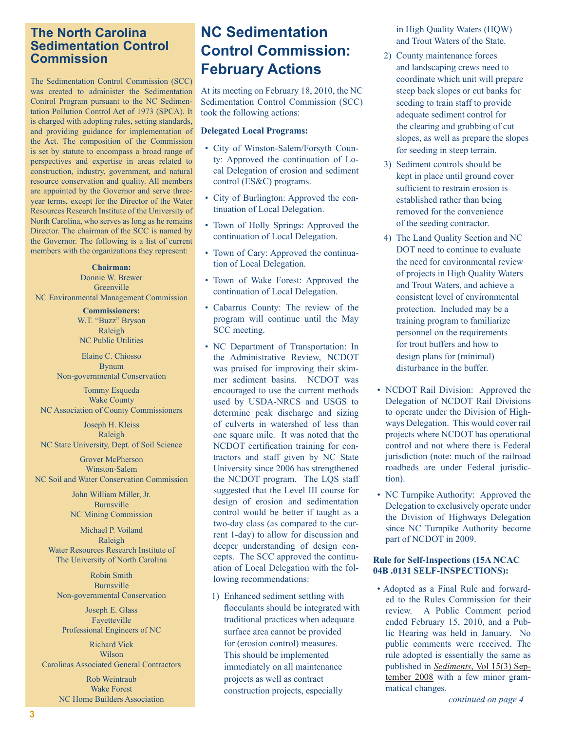# **The North Carolina Sedimentation Control Commission**

The Sedimentation Control Commission (SCC) was created to administer the Sedimentation Control Program pursuant to the NC Sedimentation Pollution Control Act of 1973 (SPCA). It is charged with adopting rules, setting standards, and providing guidance for implementation of the Act. The composition of the Commission is set by statute to encompass a broad range of perspectives and expertise in areas related to construction, industry, government, and natural resource conservation and quality. All members are appointed by the Governor and serve threeyear terms, except for the Director of the Water Resources Research Institute of the University of North Carolina, who serves as long as he remains Director. The chairman of the SCC is named by the Governor. The following is a list of current members with the organizations they represent:

**Chairman:** Donnie W. Brewer **Greenville** NC Environmental Management Commission

> **Commissioners:** W.T. "Buzz" Bryson Raleigh NC Public Utilities

Elaine C. Chiosso Bynum Non-governmental Conservation

Tommy Esqueda Wake County NC Association of County Commissioners

Joseph H. Kleiss Raleigh NC State University, Dept. of Soil Science

Grover McPherson Winston-Salem NC Soil and Water Conservation Commission

> John William Miller, Jr. Burnsville NC Mining Commission

Michael P. Voiland Raleigh Water Resources Research Institute of The University of North Carolina

Robin Smith Burnsville Non-governmental Conservation

Joseph E. Glass Fayetteville Professional Engineers of NC

Richard Vick Wilson Carolinas Associated General Contractors

> Rob Weintraub Wake Forest NC Home Builders Association

# **NC Sedimentation Control Commission: February Actions**

At its meeting on February 18, 2010, the NC Sedimentation Control Commission (SCC) took the following actions:

### **Delegated Local Programs:**

- City of Winston-Salem/Forsyth County: Approved the continuation of Local Delegation of erosion and sediment control (ES&C) programs.
- City of Burlington: Approved the continuation of Local Delegation.
- Town of Holly Springs: Approved the continuation of Local Delegation.
- Town of Cary: Approved the continuation of Local Delegation.
- Town of Wake Forest: Approved the continuation of Local Delegation.
- Cabarrus County: The review of the program will continue until the May SCC meeting.
- NC Department of Transportation: In the Administrative Review, NCDOT was praised for improving their skimmer sediment basins. NCDOT was encouraged to use the current methods used by USDA-NRCS and USGS to determine peak discharge and sizing of culverts in watershed of less than one square mile. It was noted that the NCDOT certification training for contractors and staff given by NC State University since 2006 has strengthened the NCDOT program. The LQS staff suggested that the Level III course for design of erosion and sedimentation control would be better if taught as a two-day class (as compared to the current 1-day) to allow for discussion and deeper understanding of design concepts. The SCC approved the continuation of Local Delegation with the following recommendations:
	- 1) Enhanced sediment settling with flocculants should be integrated with traditional practices when adequate surface area cannot be provided for (erosion control) measures. This should be implemented immediately on all maintenance projects as well as contract construction projects, especially

in High Quality Waters (HQW) and Trout Waters of the State.

- 2) County maintenance forces and landscaping crews need to coordinate which unit will prepare steep back slopes or cut banks for seeding to train staff to provide adequate sediment control for the clearing and grubbing of cut slopes, as well as prepare the slopes for seeding in steep terrain.
- 3) Sediment controls should be kept in place until ground cover sufficient to restrain erosion is established rather than being removed for the convenience of the seeding contractor.
- 4) The Land Quality Section and NC DOT need to continue to evaluate the need for environmental review of projects in High Quality Waters and Trout Waters, and achieve a consistent level of environmental protection. Included may be a training program to familiarize personnel on the requirements for trout buffers and how to design plans for (minimal) disturbance in the buffer.
- NCDOT Rail Division: Approved the Delegation of NCDOT Rail Divisions to operate under the Division of Highways Delegation. This would cover rail projects where NCDOT has operational control and not where there is Federal jurisdiction (note: much of the railroad roadbeds are under Federal jurisdiction).
- NC Turnpike Authority: Approved the Delegation to exclusively operate under the Division of Highways Delegation since NC Turnpike Authority become part of NCDOT in 2009.

## **Rule for Self-Inspections (15A NCAC 04B .0131 SELF-INSPECTIONS):**

• Adopted as a Final Rule and forwarded to the Rules Commission for their review. A Public Comment period ended February 15, 2010, and a Public Hearing was held in January. No public comments were received. The rule adopted is essentially the same as published in *Sediments*[, Vol 15\(3\) Sep](http://www.dlr.enr.state.nc.us/images/2008%20Volume%2015%20No%203%20July%20September%202008.pdf)[tember 2008 w](http://www.dlr.enr.state.nc.us/images/2008%20Volume%2015%20No%203%20July%20September%202008.pdf)ith a few minor grammatical changes.

*continued on page 4*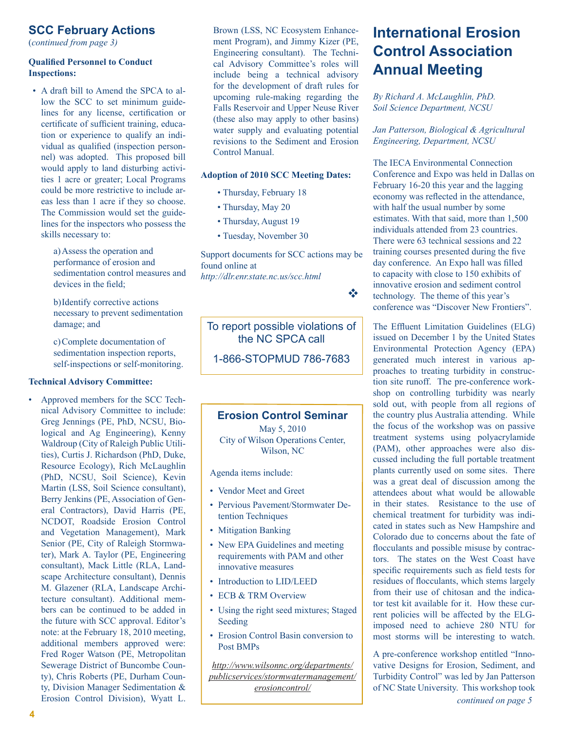# **SCC February Actions**

(*continued from page 3)*

### **Qualified Personnel to Conduct Inspections:**

• A draft bill to Amend the SPCA to allow the SCC to set minimum guidelines for any license, certification or certificate of sufficient training, education or experience to qualify an individual as qualified (inspection personnel) was adopted. This proposed bill would apply to land disturbing activities 1 acre or greater; Local Programs could be more restrictive to include areas less than 1 acre if they so choose. The Commission would set the guidelines for the inspectors who possess the skills necessary to:

> a)Assess the operation and performance of erosion and sedimentation control measures and devices in the field;

b)Identify corrective actions necessary to prevent sedimentation damage; and

c)Complete documentation of sedimentation inspection reports, self-inspections or self-monitoring.

### **Technical Advisory Committee:**

• Approved members for the SCC Technical Advisory Committee to include: Greg Jennings (PE, PhD, NCSU, Biological and Ag Engineering), Kenny Waldroup (City of Raleigh Public Utilities), Curtis J. Richardson (PhD, Duke, Resource Ecology), Rich McLaughlin (PhD, NCSU, Soil Science), Kevin Martin (LSS, Soil Science consultant), Berry Jenkins (PE, Association of General Contractors), David Harris (PE, NCDOT, Roadside Erosion Control and Vegetation Management), Mark Senior (PE, City of Raleigh Stormwater), Mark A. Taylor (PE, Engineering consultant), Mack Little (RLA, Landscape Architecture consultant), Dennis M. Glazener (RLA, Landscape Architecture consultant). Additional members can be continued to be added in the future with SCC approval. Editor's note: at the February 18, 2010 meeting, additional members approved were: Fred Roger Watson (PE, Metropolitan Sewerage District of Buncombe County), Chris Roberts (PE, Durham County, Division Manager Sedimentation & Erosion Control Division), Wyatt L.

Brown (LSS, NC Ecosystem Enhancement Program), and Jimmy Kizer (PE, Engineering consultant). The Technical Advisory Committee's roles will include being a technical advisory for the development of draft rules for upcoming rule-making regarding the Falls Reservoir and Upper Neuse River (these also may apply to other basins) water supply and evaluating potential revisions to the Sediment and Erosion Control Manual.

#### **Adoption of 2010 SCC Meeting Dates:**

- Thursday, February 18
- Thursday, May 20
- Thursday, August 19
- Tuesday, November 30

Support documents for SCC actions may be found online at *<http://dlr.enr.state.nc.us/scc.html>*

*<i>v v v i v i v i v i v i v* 

To report possible violations of the NC SPCA call 1-866-STOPMUD 786-7683

## **Erosion Control Seminar**

May 5, 2010 City of Wilson Operations Center, Wilson, NC

Agenda items include:

- Vendor Meet and Greet
- Pervious Pavement/Stormwater Detention Techniques
- Mitigation Banking
- New EPA Guidelines and meeting requirements with PAM and other innovative measures
- Introduction to LID/LEED
- ECB & TRM Overview
- Using the right seed mixtures; Staged Seeding
- Erosion Control Basin conversion to Post BMPs

*http://www.wilsonnc.org/departments/ publicservices/stormwatermanagement/ erosioncontrol/*

# **International Erosion Control Association Annual Meeting**

*By Richard A. McLaughlin, PhD. Soil Science Department, NCSU*

*Jan Patterson, Biological & Agricultural Engineering, Department, NCSU*

The IECA Environmental Connection Conference and Expo was held in Dallas on February 16-20 this year and the lagging economy was reflected in the attendance, with half the usual number by some estimates. With that said, more than 1,500 individuals attended from 23 countries. There were 63 technical sessions and 22 training courses presented during the five day conference. An Expo hall was filled to capacity with close to 150 exhibits of innovative erosion and sediment control technology. The theme of this year's conference was "Discover New Frontiers".

The Effluent Limitation Guidelines (ELG) issued on December 1 by the United States Environmental Protection Agency (EPA) generated much interest in various approaches to treating turbidity in construction site runoff. The pre-conference workshop on controlling turbidity was nearly sold out, with people from all regions of the country plus Australia attending. While the focus of the workshop was on passive treatment systems using polyacrylamide (PAM), other approaches were also discussed including the full portable treatment plants currently used on some sites. There was a great deal of discussion among the attendees about what would be allowable in their states. Resistance to the use of chemical treatment for turbidity was indicated in states such as New Hampshire and Colorado due to concerns about the fate of flocculants and possible misuse by contractors. The states on the West Coast have specific requirements such as field tests for residues of flocculants, which stems largely from their use of chitosan and the indicator test kit available for it. How these current policies will be affected by the ELGimposed need to achieve 280 NTU for most storms will be interesting to watch.

A pre-conference workshop entitled "Innovative Designs for Erosion, Sediment, and Turbidity Control" was led by Jan Patterson of NC State University. This workshop took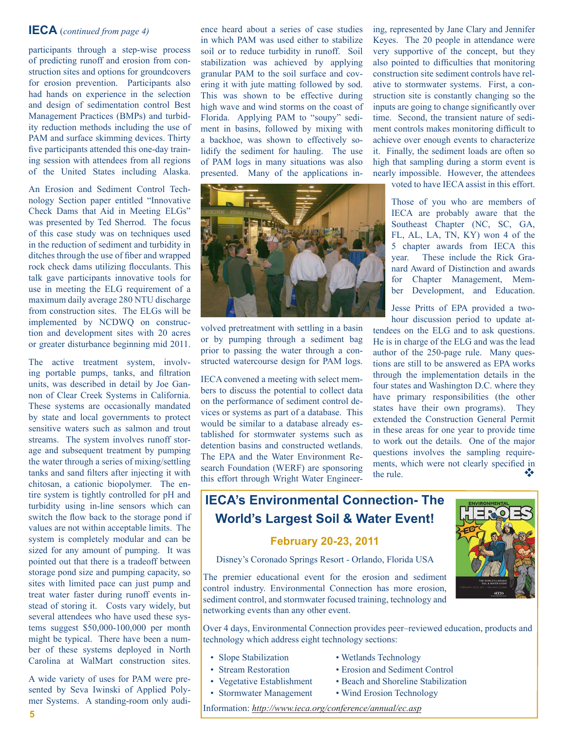# **IECA** (*continued from page 4)*

participants through a step-wise process of predicting runoff and erosion from construction sites and options for groundcovers for erosion prevention. Participants also had hands on experience in the selection and design of sedimentation control Best Management Practices (BMPs) and turbidity reduction methods including the use of PAM and surface skimming devices. Thirty five participants attended this one-day training session with attendees from all regions of the United States including Alaska.

An Erosion and Sediment Control Technology Section paper entitled "Innovative Check Dams that Aid in Meeting ELGs" was presented by Ted Sherrod. The focus of this case study was on techniques used in the reduction of sediment and turbidity in ditches through the use of fiber and wrapped rock check dams utilizing flocculants. This talk gave participants innovative tools for use in meeting the ELG requirement of a maximum daily average 280 NTU discharge from construction sites. The ELGs will be implemented by NCDWQ on construction and development sites with 20 acres or greater disturbance beginning mid 2011.

The active treatment system, involving portable pumps, tanks, and filtration units, was described in detail by Joe Gannon of Clear Creek Systems in California. These systems are occasionally mandated by state and local governments to protect sensitive waters such as salmon and trout streams. The system involves runoff storage and subsequent treatment by pumping the water through a series of mixing/settling tanks and sand filters after injecting it with chitosan, a cationic biopolymer. The entire system is tightly controlled for pH and turbidity using in-line sensors which can switch the flow back to the storage pond if values are not within acceptable limits. The system is completely modular and can be sized for any amount of pumping. It was pointed out that there is a tradeoff between storage pond size and pumping capacity, so sites with limited pace can just pump and treat water faster during runoff events instead of storing it. Costs vary widely, but several attendees who have used these systems suggest \$50,000-100,000 per month might be typical. There have been a number of these systems deployed in North Carolina at WalMart construction sites.

A wide variety of uses for PAM were presented by Seva Iwinski of Applied Polymer Systems. A standing-room only audi-

ence heard about a series of case studies in which PAM was used either to stabilize soil or to reduce turbidity in runoff. Soil stabilization was achieved by applying granular PAM to the soil surface and covering it with jute matting followed by sod. This was shown to be effective during high wave and wind storms on the coast of Florida. Applying PAM to "soupy" sediment in basins, followed by mixing with a backhoe, was shown to effectively solidify the sediment for hauling. The use of PAM logs in many situations was also presented. Many of the applications in-



volved pretreatment with settling in a basin or by pumping through a sediment bag prior to passing the water through a constructed watercourse design for PAM logs.

IECA convened a meeting with select members to discuss the potential to collect data on the performance of sediment control devices or systems as part of a database. This would be similar to a database already established for stormwater systems such as detention basins and constructed wetlands. The EPA and the Water Environment Research Foundation (WERF) are sponsoring this effort through Wright Water Engineering, represented by Jane Clary and Jennifer Keyes. The 20 people in attendance were very supportive of the concept, but they also pointed to difficulties that monitoring construction site sediment controls have relative to stormwater systems. First, a construction site is constantly changing so the inputs are going to change significantly over time. Second, the transient nature of sediment controls makes monitoring difficult to achieve over enough events to characterize it. Finally, the sediment loads are often so high that sampling during a storm event is nearly impossible. However, the attendees

voted to have IECA assist in this effort.

Those of you who are members of IECA are probably aware that the Southeast Chapter (NC, SC, GA, FL, AL, LA, TN, KY) won 4 of the 5 chapter awards from IECA this year. These include the Rick Granard Award of Distinction and awards for Chapter Management, Member Development, and Education.

Jesse Pritts of EPA provided a twohour discussion period to update at-

tendees on the ELG and to ask questions. He is in charge of the ELG and was the lead author of the 250-page rule. Many questions are still to be answered as EPA works through the implementation details in the four states and Washington D.C. where they have primary responsibilities (the other states have their own programs). They extended the Construction General Permit in these areas for one year to provide time to work out the details. One of the major questions involves the sampling requirements, which were not clearly specified in the rule.

# **IECA's Environmental Connection- The World's Largest Soil & Water Event!**

## **February 20-23, 2011**

Disney's Coronado Springs Resort - Orlando, Florida USA

The premier educational event for the erosion and sediment control industry. Environmental Connection has more erosion, sediment control, and stormwater focused training, technology and networking events than any other event.

Over 4 days, Environmental Connection provides peer–reviewed education, products and technology which address eight technology sections:

- Slope Stabilization Wetlands Technology
- Stream Restoration Erosion and Sediment Control
- Vegetative Establishment Beach and Shoreline Stabilization
- Stormwater Management Wind Erosion Technology
- Information: *<http://www.ieca.org/conference/annual/ec.asp>*